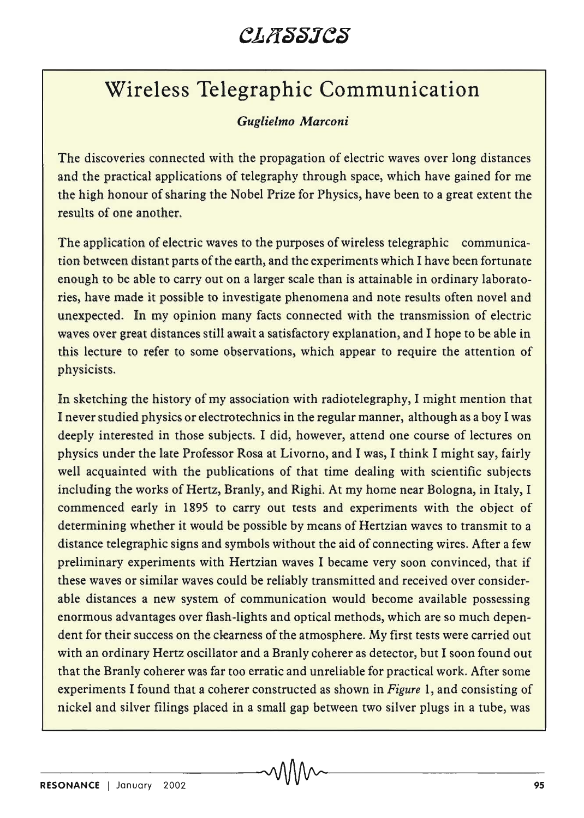### **Wireless Telegraphic Communication**

#### *Guglielmo Marconi*

The discoveries connected with the propagation of electric waves over long distances and the practical applications of telegraphy through space, which have gained for me the high honour of sharing the Nobel Prize for Physics, have been to a great extent the results of one another.

The application of electric waves to the purposes of wireless telegraphic communication between distant parts of the earth, and the experiments which I have been fortunate enough to be able to carry out on a larger scale than is attainable in ordinary laboratories, have made it possible to investigate phenomena and note results often novel and unexpected. In my opinion many facts connected with the transmission of electric waves over great distances still await a satisfactory explanation, and I hope to be able in this lecture to refer to some observations, which appear to require the attention of physicists.

In sketching the history of my association with radiotelegraphy, I might mention that I never studied physics or electro technics in the regular manner, although as a boy I was deeply interested in those subjects. I did, however, attend one course of lectures on physics under the late Professor Rosa at Livorno, and I was, I think I might say, fairly well acquainted with the publications of that time dealing with scientific subjects including the works of Hertz, Branly, and Righi. At my home near Bologna, in Italy, I commenced early in 1895 to carry out tests and experiments with the object of determining whether it would be possible by means of Hertzian waves to transmit to a distance telegraphic signs and symbols without the aid of connecting wires. After a few preliminary experiments with Hertzian waves I became very soon convinced, that if these waves or similar waves could be reliably transmitted and received over considerable distances a new system of communication would become available possessing enormous advantages over flash-lights and optical methods, which are so much dependent for their success on the clearness of the atmosphere. My first tests were carried out with an ordinary Hertz oscillator and a Branly coherer as detector, but I soon found out that the Branly coherer was far too erratic and unreliable for practical work. After some experiments I found that a coherer constructed as shown in *Figure* 1, and consisting of nickel and silver filings placed in a small gap between two silver plugs in a tube, was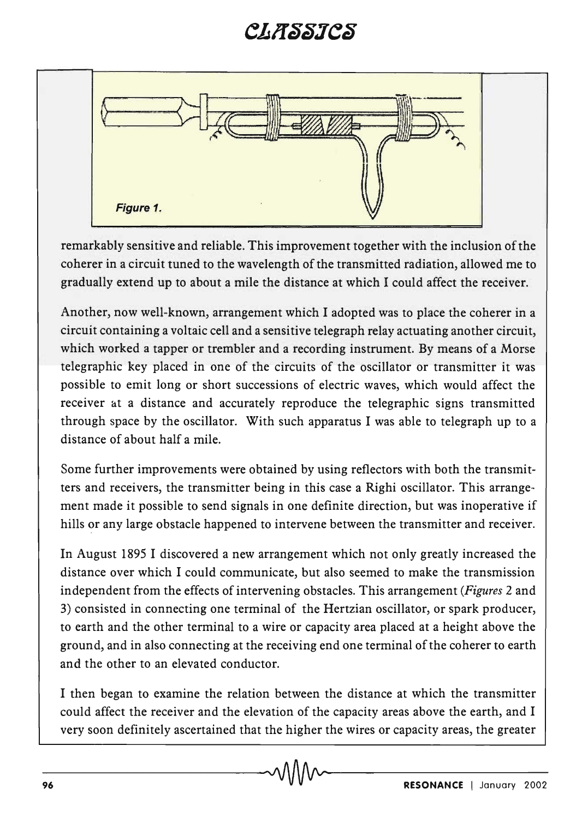

remarkably sensitive and reliable. This improvement together with the inclusion of the coherer in a circuit tuned to the wavelength of the transmitted radiation, allowed me to gradually extend up to about a mile the distance at which I could affect the receiver.

Another, now well-known, arrangement which I adopted was to place the coherer in a circuit containing a voltaic cell and a sensitive telegraph relay actuating another circuit, which worked a tapper or trembler and a recording instrument. By means of a Morse telegraphic key placed in one of the circuits of the oscillator or transmitter it was possible to emit long or short successions of electric waves, which would affect the receiver at a distance and accurately reproduce the telegraphic signs transmitted through space by the oscillator. With such apparatus I was able to telegraph up to a distance of about half a mile.

Some further improvements were obtained by using reflectors with both the transmitters and receivers, the transmitter being in this case a Righi oscillator. This arrangement made it possible to send signals in one definite direction, but was inoperative if hills or any large obstacle happened to intervene between the transmitter and receiver.

In August 1895 I discovered a new arrangement which not only greatly increased the distance over which I could communicate, but also seemed to make the transmission independent from the effects of intervening obstacles. This arrangement *(Figures* 2 and 3) consisted in connecting one terminal of the Hertzian oscillator, or spark producer, to earth and the other terminal to a wire or capacity area placed at a height above the ground, and in also connecting at the receiving end one terminal of the coherer to earth and the other to an elevated conductor.

I then began to examine the relation between the distance at which the transmitter could affect the receiver and the elevation of the capacity areas above the earth, and I very soon definitely ascertained that the higher the wires or capacity areas, the greater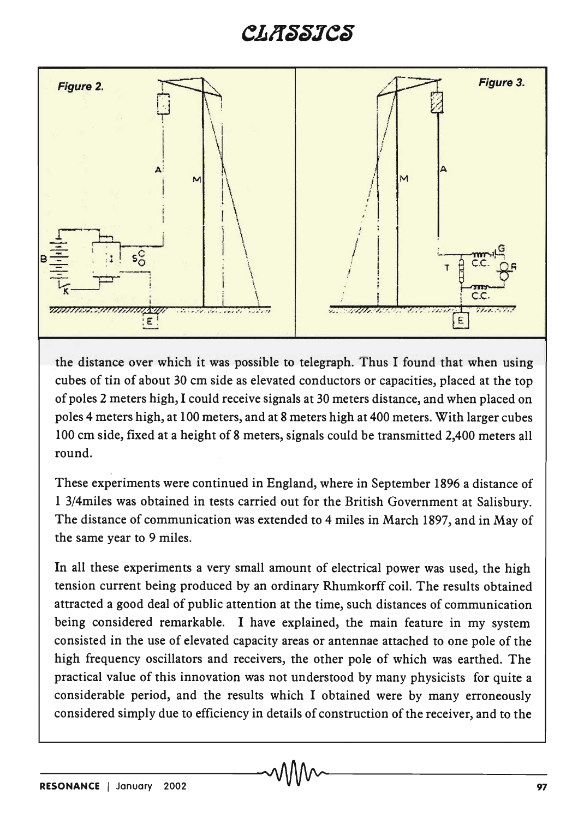

the distance over which it was possible to telegraph. Thus I found that when using cubes of tin of about 30 cm side as elevated conductors or capacities, placed at the top of poles 2 meters high, I could receive signals at 30 meters distance, and when placed on poles 4 meters high, at 100 meters, and at 8 meters high at 400 meters. With larger cubes 100 cm side, fixed at a height of 8 meters, signals could be transmitted 2,400 meters all round.

These experiments were continued in England, where in September 1896 a distance of 1 3/4miles was obtained in tests carried out for the British Government at Salisbury. The distance of communication was extended to 4 miles in March 1897, and in May of the same year to 9 miles.

In all these experiments a very small amount of electrical power was used, the high tension current being produced by an ordinary Rhumkorff coil. The results obtained attracted a good deal of public attention at the time, such distances of communication being considered remarkable. I have explained, the main feature in my system consisted in the use of elevated capacity areas or antennae attached to one pole of the high frequency oscillators and receivers, the other pole of which was earthed. The practical value of this innovation was not understood by many physicists for quite a considerable period, and the results which I obtained were by many erroneously considered simply due to efficiency in details of construction of the receiver, and to the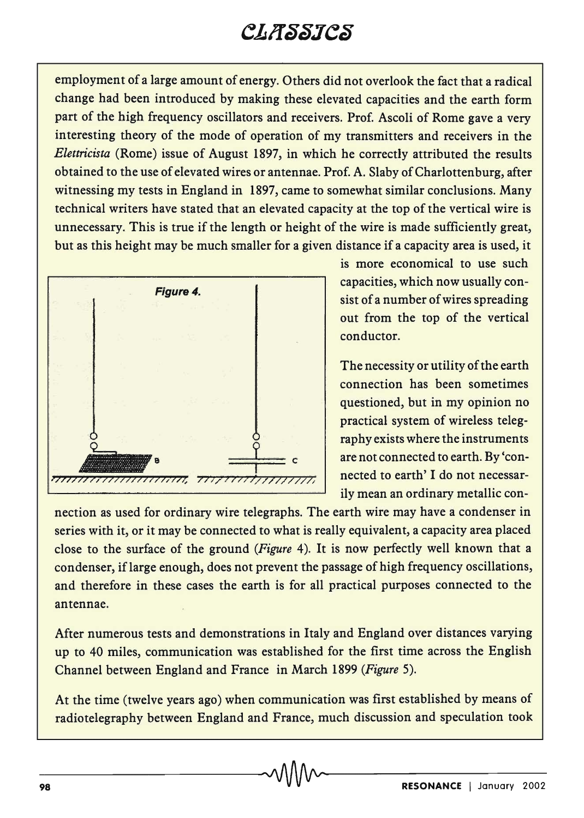employment of a large amount of energy. Others did not overlook the fact that a radical change had been introduced by making these elevated capacities and the earth form part of the high frequency oscillators and receivers. Prof. Ascoli of Rome gave a very interesting theory of the mode of operation of my transmitters and receivers in the *Elettricista* (Rome) issue of August 1897, in which he correctly attributed the results obtained to the use of elevated wires or antennae. Prof. A. Slaby of Charlottenburg, after witnessing my tests in England in 1897, came to somewhat similar conclusions. Many technical writers have stated that an elevated capacity at the top of the vertical wire is unnecessary. This is true if the length or height of the wire is made sufficiently great, but as this height may be much smaller for a given distance if a capacity area is used, it



is more economical to use such capacities, which now usually consist of a number of wires spreading out from the top of the vertical conductor.

The necessity or utility of the earth connection has been sometimes questioned, but in my opinion no practical system of wireless telegraphy exists where the instruments are not connected to earth. By 'connected to earth' I do not necessarily mean an ordinary metallic con-

nection as used for ordinary wire telegraphs. The earth wire may have a condenser in series with it, or it may be connected to what is really equivalent, a capacity area placed close to the surface of the ground *(Figure* 4). It is now perfectly well known that a condenser, if large enough, does not prevent the passage of high frequency oscillations, and therefore in these cases the earth is for all practical purposes connected to the antennae.

After numerous tests and demonstrations in Italy and England over distances varying up to 40 miles, communication was established for the first time across the English Channel between England and France in March 1899 *(Figure 5).* 

At the time (twelve years ago) when communication was first established by means of radiotelegraphy between England and France, much discussion and speculation took \_\_\_\_\_\_\_\_ ,AAflAA, \_\_ ------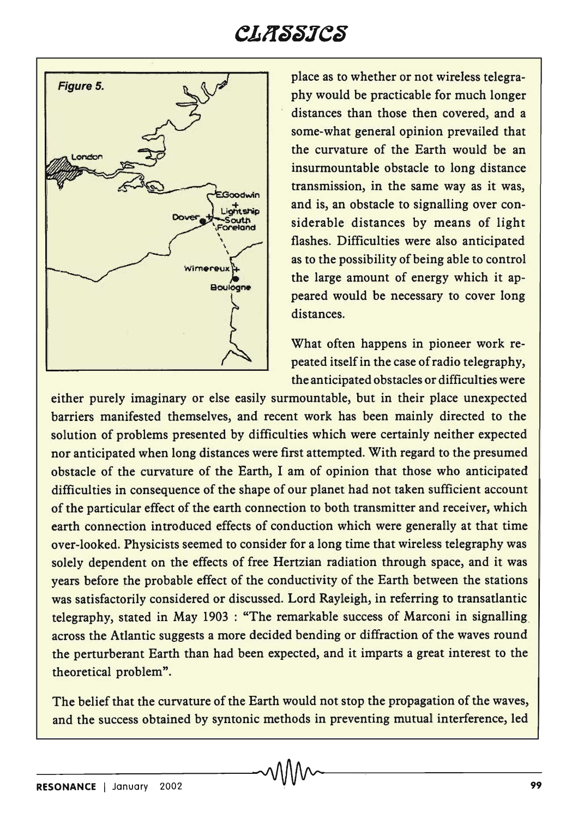

Figure 5. place as to whether or not wireless telegraphy would be practicable for much longer distances than those then covered, and a some-what general opinion prevailed that the curvature of the Earth would be an insurmountable obstacle to long distance transmission, in the same way as it was, and is, an obstacle to signalling over considerable distances by means of light flashes. Difficulties were also anticipated as to the possibility of being able to control the large amount of energy which it appeared would be necessary to cover long distances.

> What often happens in pioneer work repeated itself in the case of radio telegraphy, the anticipated obstacles or difficulties were

either purely imaginary or else easily surmountable, but in their place unexpected barriers manifested themselves, and recent work has been mainly directed to the solution of problems presented by difficulties which were certainly neither expected nor anticipated when long distances were first attempted. With regard to the presumed obstacle of the curvature of the Earth, I am of opinion that those who anticipated difficulties in consequence of the shape of our planet had not taken sufficient account of the particular effect of the earth connection to both transmitter and receiver, which earth connection introduced effects of conduction which were generally at that time over-looked. Physicists seemed to consider for a long time that wireless telegraphy was solely dependent on the effects of free Hertzian radiation through space, and it was years before the probable effect of the conductivity of the Earth between the stations was satisfactorily considered or discussed. Lord Rayleigh, in referring to transatlantic telegraphy, stated in May 1903 : "The remarkable success of Marconi in signalling across the Atlantic suggests a more decided bending or diffraction of the waves round the perturberant Earth than had been expected, and it imparts a great interest to the theoretical problem".

The belief that the curvature of the Earth would not stop the propagation of the waves, and the success obtained by syntonic methods in preventing mutual interference, led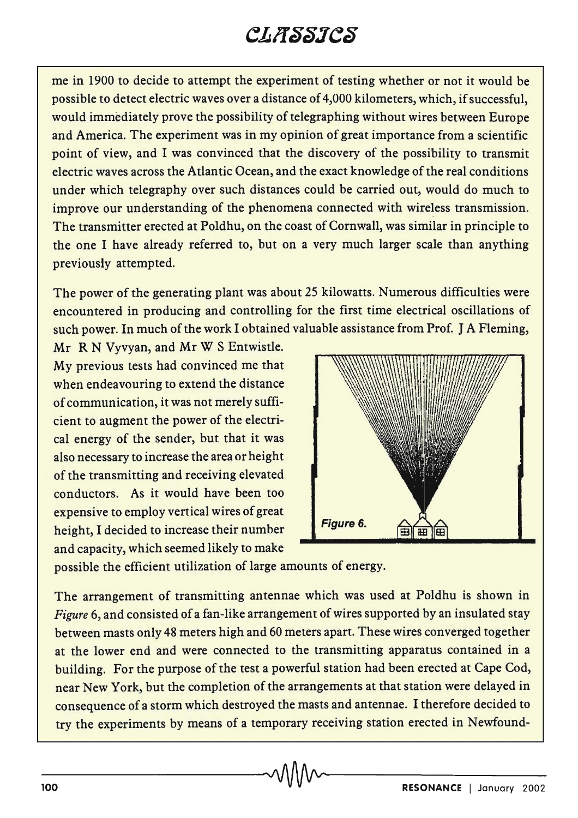me in 1900 to decide to attempt the experiment of testing whether or not it would be possible to detect electric waves over a distance of 4,000 kilometers, which, if successful, would immediately prove the possibility of telegraphing without wires between Europe and America. The experiment was in my opinion of great importance from a scientific point of view, and I was convinced that the discovery of the possibility to transmit electric waves across the Atlantic Ocean, and the exact knowledge of the real conditions under which telegraphy over such distances could be carried out, would do much to improve our understanding of the phenomena connected with wireless transmission. The transmitter erected at Poldhu, on the coast of Cornwall, was similar in principle to the one I have already referred to, but on a very much larger scale than anything previously attempted.

The power of the generating plant was about 2S kilowatts. Numerous difficulties were encountered in producing and controlling for the first time electrical oscillations of such power. In much of the work I obtained valuable assistance from Prof. J A Fleming,

Mr R N Vyvyan, and Mr W S Entwistle. My previous tests had convinced me that when endeavouring to extend the distance of communication, it was not merely sufficient to augment the power of the electrical energy of the sender, but that it was also necessary to increase the area or height of the transmitting and receiving elevated conductors. As it would have been too expensive to employ vertical wires of great height, I decided to increase their number and capacity, which seemed likely to make



possible the efficient utilization of large amounts of energy.

The arrangement of transmitting antennae which was used at Poldhu is shown in *Figure* 6, and consisted of a fan-like arrangement of wires supported by an insulated stay between masts only 48 meters high and 60 meters apart. These wires converged together at the lower end and were connected to the transmitting apparatus contained in a building. For the purpose of the test a powerful station had been erected at Cape Cod, near New York, but the completion of the arrangements at that station were delayed in consequence of a storm which destroyed the masts and antennae. I therefore decided to try the experiments by means of a temporary receiving station erected in Newfound-